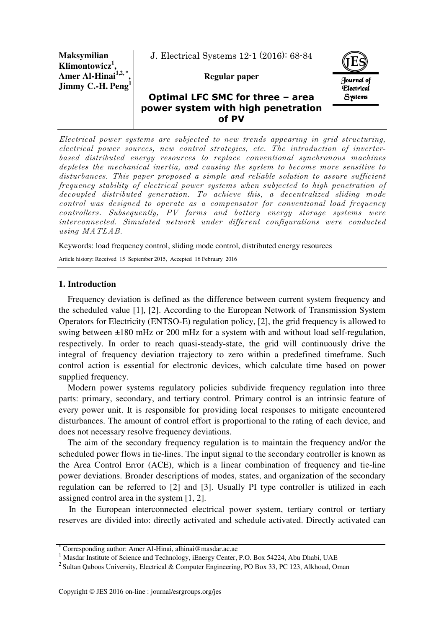**Maksymilian Klimontowicz<sup>1</sup> , Amer Al-Hinai1,2, \* , Jimmy C.-H. Peng<sup>1</sup>** J. Electrical Systems 12-1 (2016): 68-84

**Regular paper** 



# **Optimal LFC SMC for three – area power system with high penetration of PV**

Electrical power systems are subjected to new trends appearing in grid structuring, electrical power sources, new control strategies, etc. The introduction of inverterbased distributed energy resources to replace conventional synchronous machines depletes the mechanical inertia, and causing the system to become more sensitive to disturbances. This paper proposed a simple and reliable solution to assure sufficient frequency stability of electrical power systems when subjected to high penetration of decoupled distributed generation. To achieve this, a decentralized sliding mode control was designed to operate as a compensator for conventional load frequency controllers. Subsequently, PV farms and battery energy storage systems were interconnected. Simulated network under different configurations were conducted using MATLAB.

Keywords: load frequency control, sliding mode control, distributed energy resources

Article history: Received 15 September 2015, Accepted 16 February 2016

### **1. Introduction**

Frequency deviation is defined as the difference between current system frequency and the scheduled value [1], [2]. According to the European Network of Transmission System Operators for Electricity (ENTSO-E) regulation policy, [2], the grid frequency is allowed to swing between ±180 mHz or 200 mHz for a system with and without load self-regulation, respectively. In order to reach quasi-steady-state, the grid will continuously drive the integral of frequency deviation trajectory to zero within a predefined timeframe. Such control action is essential for electronic devices, which calculate time based on power supplied frequency.

Modern power systems regulatory policies subdivide frequency regulation into three parts: primary, secondary, and tertiary control. Primary control is an intrinsic feature of every power unit. It is responsible for providing local responses to mitigate encountered disturbances. The amount of control effort is proportional to the rating of each device, and does not necessary resolve frequency deviations.

The aim of the secondary frequency regulation is to maintain the frequency and/or the scheduled power flows in tie-lines. The input signal to the secondary controller is known as the Area Control Error (ACE), which is a linear combination of frequency and tie-line power deviations. Broader descriptions of modes, states, and organization of the secondary regulation can be referred to [2] and [3]. Usually PI type controller is utilized in each assigned control area in the system [1, 2].

 In the European interconnected electrical power system, tertiary control or tertiary reserves are divided into: directly activated and schedule activated. Directly activated can

<sup>\*</sup> Corresponding author: Amer Al-Hinai, alhinai@masdar.ac.ae

<sup>&</sup>lt;sup>1</sup> Masdar Institute of Science and Technology, iEnergy Center, P.O. Box 54224, Abu Dhabi, UAE

<sup>&</sup>lt;sup>2</sup> Sultan Qaboos University, Electrical & Computer Engineering, PO Box 33, PC 123, Alkhoud, Oman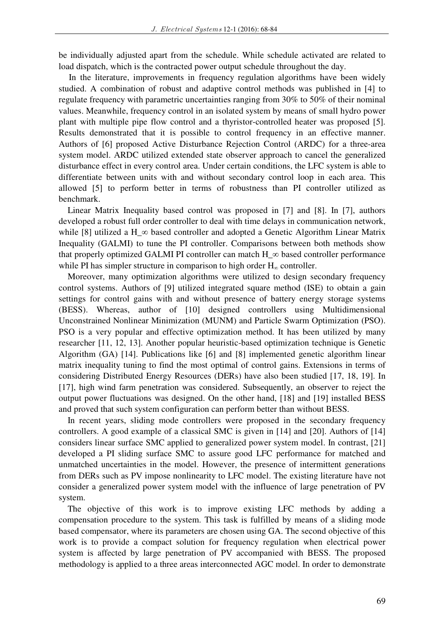be individually adjusted apart from the schedule. While schedule activated are related to load dispatch, which is the contracted power output schedule throughout the day.

 In the literature, improvements in frequency regulation algorithms have been widely studied. A combination of robust and adaptive control methods was published in [4] to regulate frequency with parametric uncertainties ranging from 30% to 50% of their nominal values. Meanwhile, frequency control in an isolated system by means of small hydro power plant with multiple pipe flow control and a thyristor-controlled heater was proposed [5]. Results demonstrated that it is possible to control frequency in an effective manner. Authors of [6] proposed Active Disturbance Rejection Control (ARDC) for a three-area system model. ARDC utilized extended state observer approach to cancel the generalized disturbance effect in every control area. Under certain conditions, the LFC system is able to differentiate between units with and without secondary control loop in each area. This allowed [5] to perform better in terms of robustness than PI controller utilized as benchmark.

Linear Matrix Inequality based control was proposed in [7] and [8]. In [7], authors developed a robust full order controller to deal with time delays in communication network, while [8] utilized a H\_ $\infty$  based controller and adopted a Genetic Algorithm Linear Matrix Inequality (GALMI) to tune the PI controller. Comparisons between both methods show that properly optimized GALMI PI controller can match  $H_\infty$  based controller performance while PI has simpler structure in comparison to high order  $H_{\infty}$  controller.

Moreover, many optimization algorithms were utilized to design secondary frequency control systems. Authors of [9] utilized integrated square method (ISE) to obtain a gain settings for control gains with and without presence of battery energy storage systems (BESS). Whereas, author of [10] designed controllers using Multidimensional Unconstrained Nonlinear Minimization (MUNM) and Particle Swarm Optimization (PSO). PSO is a very popular and effective optimization method. It has been utilized by many researcher [11, 12, 13]. Another popular heuristic-based optimization technique is Genetic Algorithm (GA) [14]. Publications like [6] and [8] implemented genetic algorithm linear matrix inequality tuning to find the most optimal of control gains. Extensions in terms of considering Distributed Energy Resources (DERs) have also been studied [17, 18, 19]. In [17], high wind farm penetration was considered. Subsequently, an observer to reject the output power fluctuations was designed. On the other hand, [18] and [19] installed BESS and proved that such system configuration can perform better than without BESS.

In recent years, sliding mode controllers were proposed in the secondary frequency controllers. A good example of a classical SMC is given in [14] and [20]. Authors of [14] considers linear surface SMC applied to generalized power system model. In contrast, [21] developed a PI sliding surface SMC to assure good LFC performance for matched and unmatched uncertainties in the model. However, the presence of intermittent generations from DERs such as PV impose nonlinearity to LFC model. The existing literature have not consider a generalized power system model with the influence of large penetration of PV system.

The objective of this work is to improve existing LFC methods by adding a compensation procedure to the system. This task is fulfilled by means of a sliding mode based compensator, where its parameters are chosen using GA. The second objective of this work is to provide a compact solution for frequency regulation when electrical power system is affected by large penetration of PV accompanied with BESS. The proposed methodology is applied to a three areas interconnected AGC model. In order to demonstrate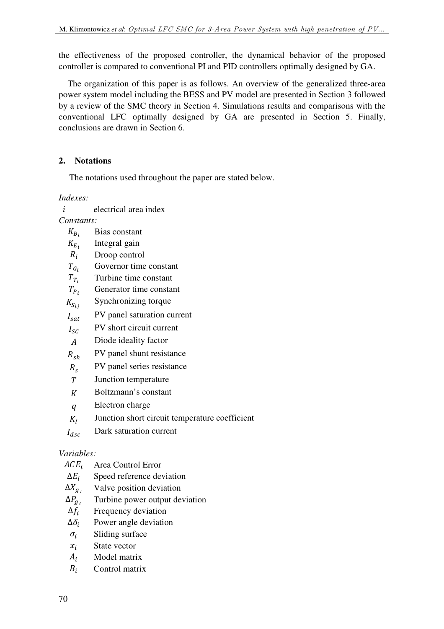the effectiveness of the proposed controller, the dynamical behavior of the proposed controller is compared to conventional PI and PID controllers optimally designed by GA.

The organization of this paper is as follows. An overview of the generalized three-area power system model including the BESS and PV model are presented in Section 3 followed by a review of the SMC theory in Section 4. Simulations results and comparisons with the conventional LFC optimally designed by GA are presented in Section 5. Finally, conclusions are drawn in Section 6.

# **2. Notations**

The notations used throughout the paper are stated below.

*Indexes:* 

*i* electrical area index

*Constants:*

- $K_{B_i}$ Bias constant
- $K_{E_i}$ <br> $R_i$ Integral gain
- Droop control
- $T_{G_i}$  Governor time constant
- $T_{T_i}$ Turbine time constant
- $T_{P_i}$ Generator time constant
- $K_{S_{ij}}$ Synchronizing torque
- $I_{\text{sat}}$  PV panel saturation current
- $I_{SC}$  PV short circuit current
- Diode ideality factor
- $R_{sh}$ PV panel shunt resistance
- $R_{\rm c}$ PV panel series resistance
- Junction temperature
- $K$  Boltzmann's constant
- $q$  Electron charge
- $K_I$ Junction short circuit temperature coefficient

 $I_{\text{dsc}}$  Dark saturation current

## *Variables:*

- $ACE<sub>i</sub>$  Area Control Error
- $\Delta E_i$  Speed reference deviation
- $\Delta X_{q_i}$ Valve position deviation
- $\Delta P_{q_i}$ <br> $\Delta f_i$ Turbine power output deviation
- Frequency deviation
- $\Delta \delta_i$  Power angle deviation
- $\sigma_i$  Sliding surface
- $x_i$  State vector
- $A_i$  Model matrix
- $B_i$  Control matrix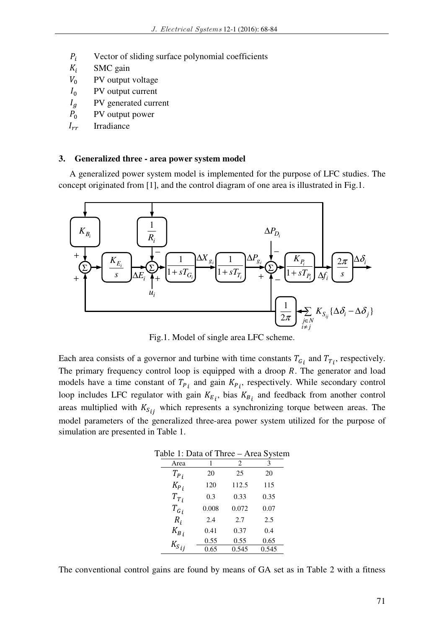- $P_i$  Vector of sliding surface polynomial coefficients
- $K_i$  SMC gain
- $V_0$  PV output voltage
- $I_0$  PV output current
- $I_a$  PV generated current
- $P_0$  PV output power
- $I_{rr}$  Irradiance

#### **3. Generalized three - area power system model**

A generalized power system model is implemented for the purpose of LFC studies. The concept originated from [1], and the control diagram of one area is illustrated in Fig.1.



Fig.1. Model of single area LFC scheme.

Each area consists of a governor and turbine with time constants  $T_{G_i}$  and  $T_{T_i}$ , respectively. The primary frequency control loop is equipped with a droop  $R$ . The generator and load models have a time constant of  $T_{P_i}$  and gain  $K_{P_i}$ , respectively. While secondary control loop includes LFC regulator with gain  $K_{E_i}$ , bias  $K_{B_i}$  and feedback from another control areas multiplied with  $K_{S_{ij}}$  which represents a synchronizing torque between areas. The model parameters of the generalized three-area power system utilized for the purpose of simulation are presented in Table 1.

Table 1: Data of Three – Area System

| Area      | 1     | 2     | 3     |
|-----------|-------|-------|-------|
| $T_{P_i}$ | 20    | 25    | 20    |
| $K_{P,i}$ | 120   | 112.5 | 115   |
| $T_{T_i}$ | 0.3   | 0.33  | 0.35  |
| $T_{G_i}$ | 0.008 | 0.072 | 0.07  |
| $R_i$     | 2.4   | 2.7   | 2.5   |
| $K_{B,i}$ | 0.41  | 0.37  | 0.4   |
|           | 0.55  | 0.55  | 0.65  |
| $K_{Sij}$ | 0.65  | 0.545 | 0.545 |

The conventional control gains are found by means of GA set as in Table 2 with a fitness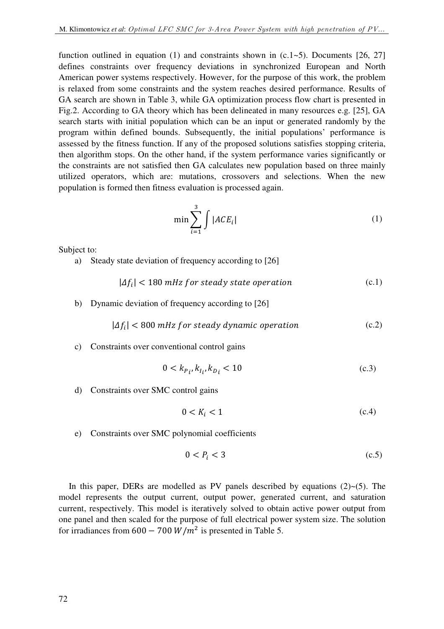function outlined in equation (1) and constraints shown in  $(c.1-5)$ . Documents [26, 27] defines constraints over frequency deviations in synchronized European and North American power systems respectively. However, for the purpose of this work, the problem is relaxed from some constraints and the system reaches desired performance. Results of GA search are shown in Table 3, while GA optimization process flow chart is presented in Fig.2. According to GA theory which has been delineated in many resources e.g. [25], GA search starts with initial population which can be an input or generated randomly by the program within defined bounds. Subsequently, the initial populations' performance is assessed by the fitness function. If any of the proposed solutions satisfies stopping criteria, then algorithm stops. On the other hand, if the system performance varies significantly or the constraints are not satisfied then GA calculates new population based on three mainly utilized operators, which are: mutations, crossovers and selections. When the new population is formed then fitness evaluation is processed again.

$$
\min \sum_{i=1}^{3} \int |ACE_i| \tag{1}
$$

Subject to:

a) Steady state deviation of frequency according to [26]

$$
|\Delta f_i| < 180 \, \text{mHz for steady state operation} \tag{c.1}
$$

b) Dynamic deviation of frequency according to [26]

$$
|\Delta f_i| < 800 \, \text{mHz for steady dynamic operation} \tag{c.2}
$$

c) Constraints over conventional control gains

$$
0 < k_{P_i}, k_{I_i}, k_{D_i} < 10 \tag{c.3}
$$

d) Constraints over SMC control gains

$$
0 < K_i < 1 \tag{c.4}
$$

e) Constraints over SMC polynomial coefficients

$$
0 < P_i < 3 \tag{c.5}
$$

In this paper, DERs are modelled as PV panels described by equations  $(2) \sim (5)$ . The model represents the output current, output power, generated current, and saturation current, respectively. This model is iteratively solved to obtain active power output from one panel and then scaled for the purpose of full electrical power system size. The solution for irradiances from  $600 - 700 W/m^2$  is presented in Table 5.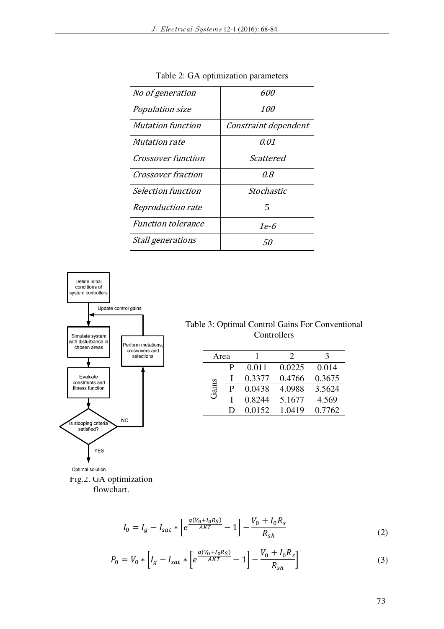| <i>No of generation</i>   | 600                  |
|---------------------------|----------------------|
| Population size           | <i>100</i>           |
| <b>Mutation function</b>  | Constraint dependent |
| <i>Mutation rate</i>      | 0.01                 |
| <b>Crossover function</b> | Scattered            |
| <i>Crossover fraction</i> | 0.8                  |
| Selection function        | Stochastic           |
| Reproduction rate         | 5                    |
| <b>Function tolerance</b> | 1e-6                 |
| <i>Stall generations</i>  | 50                   |

Table 2: GA optimization parameters



Table 3: Optimal Control Gains For Conventional Controllers

| Area  |   |        | $\mathcal{D}_{\mathcal{A}}$ | 3      |
|-------|---|--------|-----------------------------|--------|
|       | P | 0.011  | 0.0225                      | 0.014  |
|       |   | 0.3377 | 0.4766                      | 0.3675 |
| Gains | P | 0.0438 | 4.0988                      | 3.5624 |
|       |   | 0.8244 | 5.1677                      | 4.569  |
|       | Ð | 0.0152 | 1.0419                      | 0.7762 |

Optimal solution Fig.2. GA optimization flowchart.

$$
I_0 = I_g - I_{sat} * \left[ e^{\frac{q(V_0 + I_0 R_S)}{AKT}} - 1 \right] - \frac{V_0 + I_0 R_s}{R_{sh}}
$$
(2)

$$
P_0 = V_0 * \left[ I_g - I_{sat} * \left[ e^{\frac{q(V_0 + I_0 R_S)}{AKT}} - 1 \right] - \frac{V_0 + I_0 R_s}{R_{sh}} \right]
$$
(3)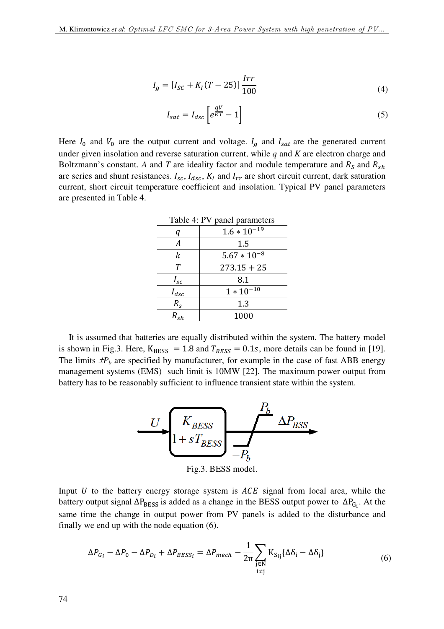$$
I_g = [I_{SC} + K_I(T - 25)] \frac{Irr}{100}
$$
\n(4)

$$
I_{sat} = I_{asc} \left[ e^{\frac{qV}{KT}} - 1 \right] \tag{5}
$$

Here  $I_0$  and  $V_0$  are the output current and voltage.  $I_g$  and  $I_{sat}$  are the generated current under given insolation and reverse saturation current, while *q* and *K* are electron charge and Boltzmann's constant. A and T are ideality factor and module temperature and  $R_s$  and  $R_{sh}$ are series and shunt resistances.  $I_{sc}$ ,  $I_{dsc}$ ,  $K_I$  and  $I_{rr}$  are short circuit current, dark saturation current, short circuit temperature coefficient and insolation. Typical PV panel parameters are presented in Table 4.

| Table 4: PV panel parameters |                  |  |
|------------------------------|------------------|--|
| q                            | $1.6 * 10^{-19}$ |  |
| А                            | 1.5              |  |
| k                            | $5.67 * 10^{-8}$ |  |
| Т                            | $273.15 + 25$    |  |
| $I_{sc}$                     | 8.1              |  |
| $I_{dsc}$                    | $1 * 10^{-10}$   |  |
| $R_{\rm s}$                  | 1.3              |  |
| $R_{sh}$                     | 1000             |  |

It is assumed that batteries are equally distributed within the system. The battery model is shown in Fig.3. Here,  $K_{BESS} = 1.8$  and  $T_{BESS} = 0.1s$ , more details can be found in [19]. The limits  $\pm P_b$  are specified by manufacturer, for example in the case of fast ABB energy management systems (EMS) such limit is 10MW [22]. The maximum power output from battery has to be reasonably sufficient to influence transient state within the system.



Fig.3. BESS model.

Input  $U$  to the battery energy storage system is  $ACE$  signal from local area, while the battery output signal  $\Delta P_{\rm BESS}$  is added as a change in the BESS output power to  $\Delta P_{G_i}$ . At the same time the change in output power from PV panels is added to the disturbance and finally we end up with the node equation (6).

$$
\Delta P_{G_i} - \Delta P_0 - \Delta P_{D_i} + \Delta P_{BESS_i} = \Delta P_{mech} - \frac{1}{2\pi} \sum_{\substack{j \in \mathbb{N} \\ i \neq j}} K_{S_{ij}} \{ \Delta \delta_i - \Delta \delta_j \}
$$
(6)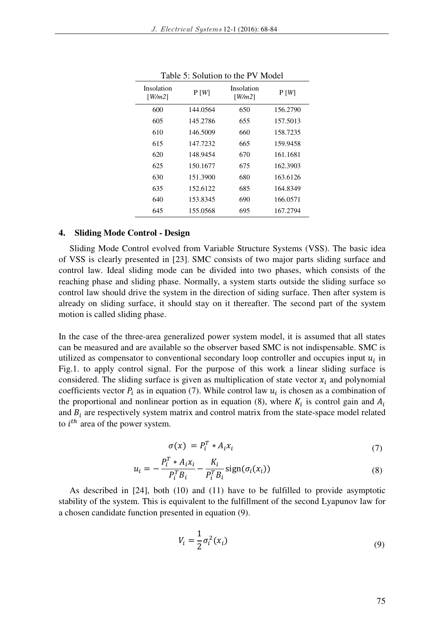| Insolation<br>[ $W/m2$ ] | P[W]     | Insolation<br> W/m2 | P[W]     |
|--------------------------|----------|---------------------|----------|
| 600                      | 144.0564 | 650                 | 156.2790 |
| 605                      | 145.2786 | 655                 | 157.5013 |
| 610                      | 146.5009 | 660                 | 158.7235 |
| 615                      | 147.7232 | 665                 | 159.9458 |
| 620                      | 148.9454 | 670                 | 161.1681 |
| 625                      | 150.1677 | 675                 | 162.3903 |
| 630                      | 151.3900 | 680                 | 163.6126 |
| 635                      | 152.6122 | 685                 | 164.8349 |
| 640                      | 153.8345 | 690                 | 166.0571 |
| 645                      | 155.0568 | 695                 | 167.2794 |

Table 5: Solution to the PV Model

### **4. Sliding Mode Control - Design**

Sliding Mode Control evolved from Variable Structure Systems (VSS). The basic idea of VSS is clearly presented in [23]. SMC consists of two major parts sliding surface and control law. Ideal sliding mode can be divided into two phases, which consists of the reaching phase and sliding phase. Normally, a system starts outside the sliding surface so control law should drive the system in the direction of siding surface. Then after system is already on sliding surface, it should stay on it thereafter. The second part of the system motion is called sliding phase.

In the case of the three-area generalized power system model, it is assumed that all states can be measured and are available so the observer based SMC is not indispensable. SMC is utilized as compensator to conventional secondary loop controller and occupies input  $u_i$  in Fig.1. to apply control signal. For the purpose of this work a linear sliding surface is considered. The sliding surface is given as multiplication of state vector  $x_i$  and polynomial coefficients vector  $P_i$  as in equation (7). While control law  $u_i$  is chosen as a combination of the proportional and nonlinear portion as in equation (8), where  $K_i$  is control gain and  $A_i$ and  $B_i$  are respectively system matrix and control matrix from the state-space model related to  $i^{th}$  area of the power system.

$$
\sigma(x) = P_i^T * A_i x_i \tag{7}
$$

$$
u_i = -\frac{P_i^T * A_i x_i}{P_i^T B_i} - \frac{K_i}{P_i^T B_i} sign(\sigma_i(x_i))
$$
\n(8)

As described in [24], both (10) and (11) have to be fulfilled to provide asymptotic stability of the system. This is equivalent to the fulfillment of the second Lyapunov law for a chosen candidate function presented in equation (9).

$$
V_i = \frac{1}{2}\sigma_i^2(x_i)
$$
\n(9)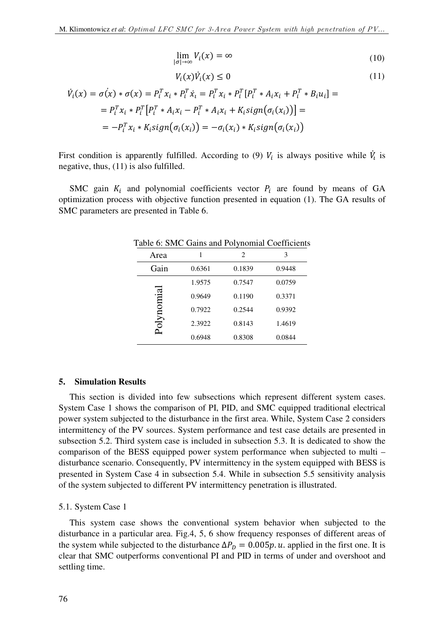$$
\lim_{|\sigma| \to \infty} V_i(x) = \infty \tag{10}
$$

$$
V_i(x)\dot{V}_i(x) \le 0 \tag{11}
$$

$$
\dot{V}_i(x) = \sigma(x) * \sigma(x) = P_i^T x_i * P_i^T \dot{x}_i = P_i^T x_i * P_i^T [P_i^T * A_i x_i + P_i^T * B_i u_i] =
$$
\n
$$
= P_i^T x_i * P_i^T [P_i^T * A_i x_i - P_i^T * A_i x_i + K_i sign(\sigma_i(x_i))] =
$$
\n
$$
= -P_i^T x_i * K_i sign(\sigma_i(x_i)) = -\sigma_i(x_i) * K_i sign(\sigma_i(x_i))
$$

First condition is apparently fulfilled. According to (9)  $V_i$  is always positive while  $\dot{V}_i$  is i negative, thus, (11) is also fulfilled.

SMC gain  $K_i$  and polynomial coefficients vector  $P_i$  are found by means of GA optimization process with objective function presented in equation (1). The GA results of SMC parameters are presented in Table 6.

| $\mu$ able to bind call $\mu$ and $\mu$ or $\mu$ from an event controlled |        |        |        |
|---------------------------------------------------------------------------|--------|--------|--------|
| Area                                                                      |        | 2      | 3      |
| Gain                                                                      | 0.6361 | 0.1839 | 0.9448 |
|                                                                           | 1.9575 | 0.7547 | 0.0759 |
|                                                                           | 0.9649 | 0.1190 | 0.3371 |
|                                                                           | 0.7922 | 0.2544 | 0.9392 |
| alpnomia                                                                  | 2.3922 | 0.8143 | 1.4619 |
|                                                                           | 0.6948 | 0.8308 | 0.0844 |

Table 6: SMC Gains and Polynomial Coefficients

#### **5. Simulation Results**

This section is divided into few subsections which represent different system cases. System Case 1 shows the comparison of PI, PID, and SMC equipped traditional electrical power system subjected to the disturbance in the first area. While, System Case 2 considers intermittency of the PV sources. System performance and test case details are presented in subsection 5.2. Third system case is included in subsection 5.3. It is dedicated to show the comparison of the BESS equipped power system performance when subjected to multi – disturbance scenario. Consequently, PV intermittency in the system equipped with BESS is presented in System Case 4 in subsection 5.4. While in subsection 5.5 sensitivity analysis of the system subjected to different PV intermittency penetration is illustrated.

5.1. System Case 1

This system case shows the conventional system behavior when subjected to the disturbance in a particular area. Fig.4, 5, 6 show frequency responses of different areas of the system while subjected to the disturbance  $\Delta P_p = 0.005p$ . u. applied in the first one. It is clear that SMC outperforms conventional PI and PID in terms of under and overshoot and settling time.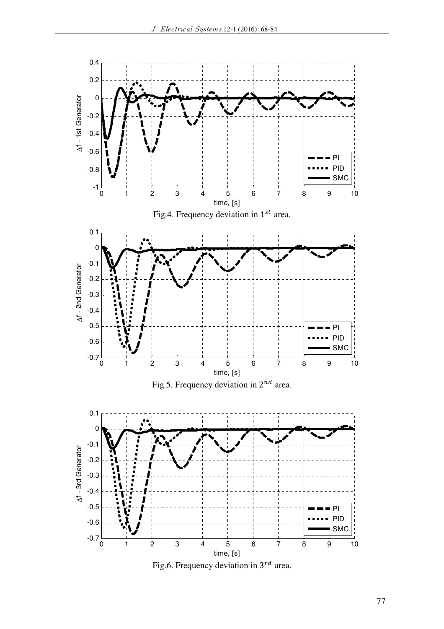

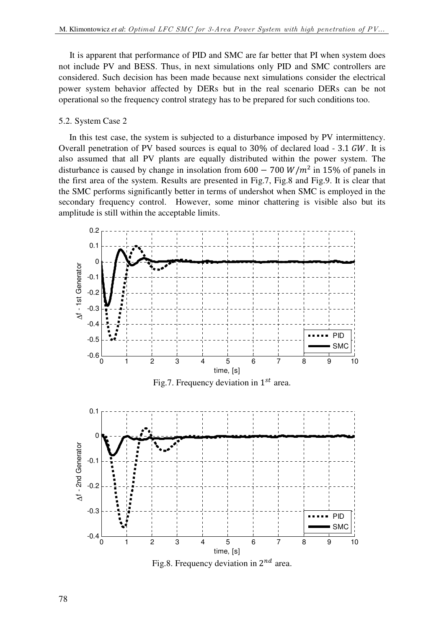It is apparent that performance of PID and SMC are far better that PI when system does not include PV and BESS. Thus, in next simulations only PID and SMC controllers are considered. Such decision has been made because next simulations consider the electrical power system behavior affected by DERs but in the real scenario DERs can be not operational so the frequency control strategy has to be prepared for such conditions too.

#### 5.2. System Case 2

In this test case, the system is subjected to a disturbance imposed by PV intermittency. Overall penetration of PV based sources is equal to  $30\%$  of declared load -  $3.1$  GW. It is also assumed that all PV plants are equally distributed within the power system. The disturbance is caused by change in insolation from  $600 - 700 W/m^2$  in 15% of panels in the first area of the system. Results are presented in Fig.7, Fig.8 and Fig.9. It is clear that the SMC performs significantly better in terms of undershot when SMC is employed in the secondary frequency control. However, some minor chattering is visible also but its amplitude is still within the acceptable limits.



Fig.7. Frequency deviation in  $1^{st}$  area.



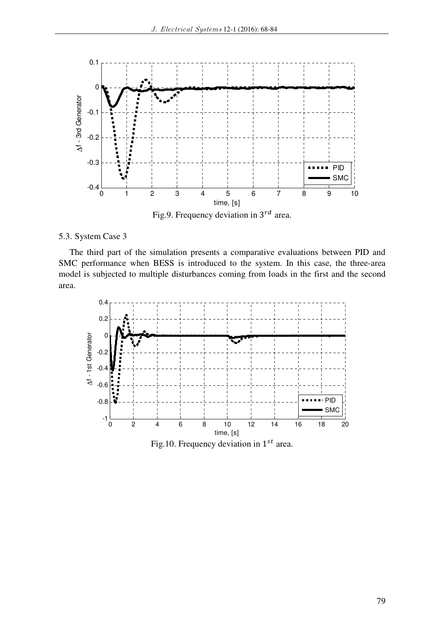

Fig.9. Frequency deviation in  $3^{rd}$  area.

# 5.3. System Case 3

The third part of the simulation presents a comparative evaluations between PID and SMC performance when BESS is introduced to the system. In this case, the three-area model is subjected to multiple disturbances coming from loads in the first and the second area.

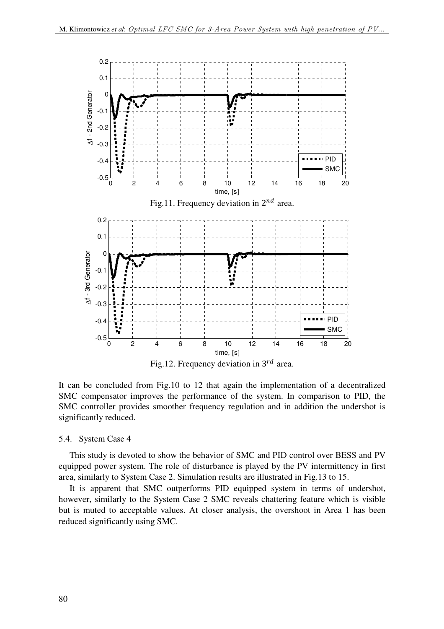

Fig.12. Frequency deviation in  $3^{rd}$  area.

It can be concluded from Fig.10 to 12 that again the implementation of a decentralized SMC compensator improves the performance of the system. In comparison to PID, the SMC controller provides smoother frequency regulation and in addition the undershot is significantly reduced.

### 5.4. System Case 4

This study is devoted to show the behavior of SMC and PID control over BESS and PV equipped power system. The role of disturbance is played by the PV intermittency in first area, similarly to System Case 2. Simulation results are illustrated in Fig.13 to 15.

It is apparent that SMC outperforms PID equipped system in terms of undershot, however, similarly to the System Case 2 SMC reveals chattering feature which is visible but is muted to acceptable values. At closer analysis, the overshoot in Area 1 has been reduced significantly using SMC.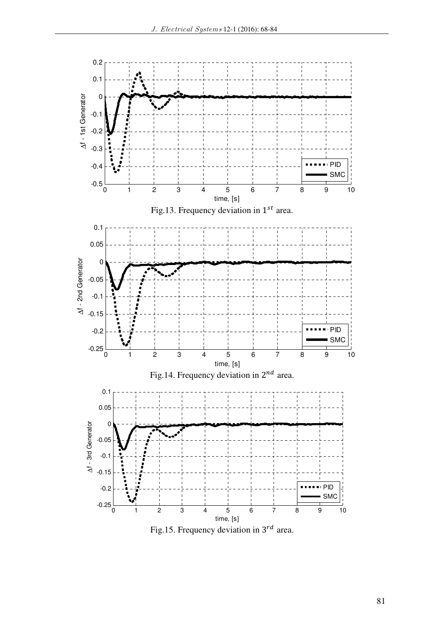

Fig.15. Frequency deviation in  $3^{rd}$  area.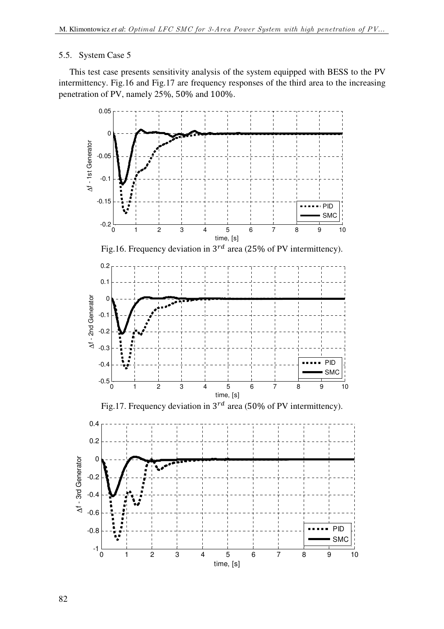## 5.5. System Case 5

This test case presents sensitivity analysis of the system equipped with BESS to the PV intermittency. Fig.16 and Fig.17 are frequency responses of the third area to the increasing penetration of PV, namely 25%, 50% and 100%.

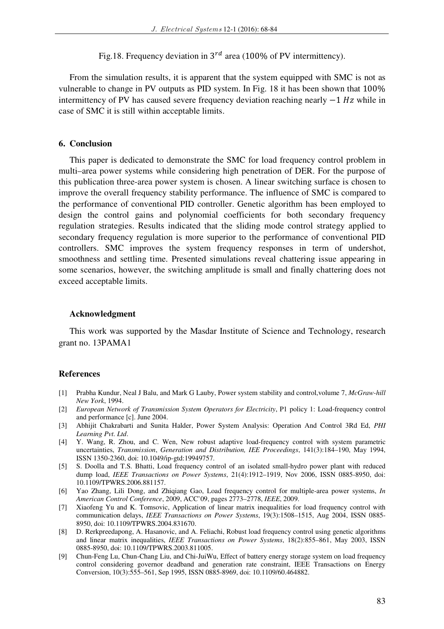Fig.18. Frequency deviation in  $3^{rd}$  area (100% of PV intermittency).

From the simulation results, it is apparent that the system equipped with SMC is not as vulnerable to change in PV outputs as PID system. In Fig. 18 it has been shown that 100% intermittency of PV has caused severe frequency deviation reaching nearly  $-1 Hz$  while in case of SMC it is still within acceptable limits.

### **6. Conclusion**

This paper is dedicated to demonstrate the SMC for load frequency control problem in multi–area power systems while considering high penetration of DER. For the purpose of this publication three-area power system is chosen. A linear switching surface is chosen to improve the overall frequency stability performance. The influence of SMC is compared to the performance of conventional PID controller. Genetic algorithm has been employed to design the control gains and polynomial coefficients for both secondary frequency regulation strategies. Results indicated that the sliding mode control strategy applied to secondary frequency regulation is more superior to the performance of conventional PID controllers. SMC improves the system frequency responses in term of undershot, smoothness and settling time. Presented simulations reveal chattering issue appearing in some scenarios, however, the switching amplitude is small and finally chattering does not exceed acceptable limits.

#### **Acknowledgment**

This work was supported by the Masdar Institute of Science and Technology, research grant no. 13PAMA1

#### **References**

- [1] Prabha Kundur, Neal J Balu, and Mark G Lauby, Power system stability and control,volume 7, *McGraw-hill New York*, 1994.
- [2] *European Network of Transmission System Operators for Electricity*, P1 policy 1: Load-frequency control and performance [c]. June 2004.
- [3] Abhijit Chakrabarti and Sunita Halder, Power System Analysis: Operation And Control 3Rd Ed, *PHI Learning Pvt. Ltd*.
- [4] Y. Wang, R. Zhou, and C. Wen, New robust adaptive load-frequency control with system parametric uncertainties, *Transmission*, *Generation and Distribution, IEE Proceedings*, 141(3):184–190, May 1994, ISSN 1350-2360, doi: 10.1049/ip-gtd:19949757.
- [5] S. Doolla and T.S. Bhatti, Load frequency control of an isolated small-hydro power plant with reduced dump load, *IEEE Transactions on Power Systems*, 21(4):1912–1919, Nov 2006, ISSN 0885-8950, doi: 10.1109/TPWRS.2006.881157.
- [6] Yao Zhang, Lili Dong, and Zhiqiang Gao, Load frequency control for multiple-area power systems, *In American Control Conference*, 2009, ACC'09, pages 2773–2778, *IEEE*, 2009.
- [7] Xiaofeng Yu and K. Tomsovic, Application of linear matrix inequalities for load frequency control with communication delays, *IEEE Transactions on Power Systems*, 19(3):1508–1515, Aug 2004, ISSN 0885- 8950, doi: 10.1109/TPWRS.2004.831670.
- [8] D. Rerkpreedapong, A. Hasanovic, and A. Feliachi, Robust load frequency control using genetic algorithms and linear matrix inequalities, *IEEE Transactions on Power Systems*, 18(2):855–861, May 2003, ISSN 0885-8950, doi: 10.1109/TPWRS.2003.811005.
- [9] Chun-Feng Lu, Chun-Chang Liu, and Chi-JuiWu, Effect of battery energy storage system on load frequency control considering governor deadband and generation rate constraint, IEEE Transactions on Energy Conversion, 10(3):555–561, Sep 1995, ISSN 0885-8969, doi: 10.1109/60.464882.